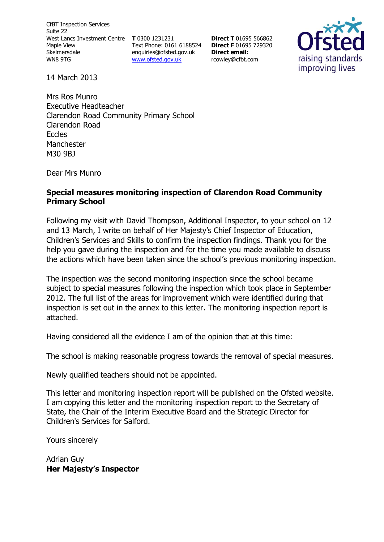CfBT Inspection Services Suite 22 West Lancs Investment Centre **T** 0300 1231231 Maple View Skelmersdale WN8 9TG

Text Phone: 0161 6188524 **Direct F** 01695 729320 [enquiries@ofsted.gov.uk](http://mailto:enquiries@ofsted.gov.uk/) [www.ofsted.gov.uk](http://www.ofsted.gov.uk/)

**Direct T** 01695 566862 **Direct email:**  [rcowley@cfbt.com](AppData/aguy/AppData/Local/Microsoft/Windows/Temporary%20Internet%20Files/Content.Outlook/D1ERHOLL/rcowley@cfbt.com)



14 March 2013

Mrs Ros Munro Executive Headteacher Clarendon Road Community Primary School Clarendon Road Eccles Manchester M30 9BJ

Dear Mrs Munro

#### **Special measures monitoring inspection of Clarendon Road Community Primary School**

Following my visit with David Thompson, Additional Inspector, to your school on 12 and 13 March, I write on behalf of Her Majesty's Chief Inspector of Education, Children's Services and Skills to confirm the inspection findings. Thank you for the help you gave during the inspection and for the time you made available to discuss the actions which have been taken since the school's previous monitoring inspection.

The inspection was the second monitoring inspection since the school became subject to special measures following the inspection which took place in September 2012. The full list of the areas for improvement which were identified during that inspection is set out in the annex to this letter. The monitoring inspection report is attached.

Having considered all the evidence I am of the opinion that at this time:

The school is making reasonable progress towards the removal of special measures.

Newly qualified teachers should not be appointed.

This letter and monitoring inspection report will be published on the Ofsted website. I am copying this letter and the monitoring inspection report to the Secretary of State, the Chair of the Interim Executive Board and the Strategic Director for Children's Services for Salford.

Yours sincerely

Adrian Guy **Her Majesty's Inspector**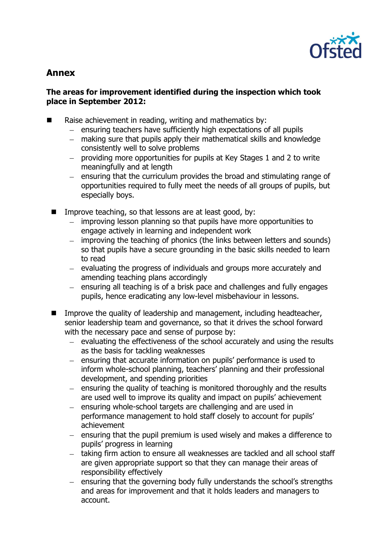

# **Annex**

#### **The areas for improvement identified during the inspection which took place in September 2012:**

- $\blacksquare$  Raise achievement in reading, writing and mathematics by:
	- $-$  ensuring teachers have sufficiently high expectations of all pupils
	- making sure that pupils apply their mathematical skills and knowledge consistently well to solve problems
	- providing more opportunities for pupils at Key Stages 1 and 2 to write meaningfully and at length
	- $-$  ensuring that the curriculum provides the broad and stimulating range of opportunities required to fully meet the needs of all groups of pupils, but especially boys.
	- Improve teaching, so that lessons are at least good, by:
		- $\equiv$ improving lesson planning so that pupils have more opportunities to engage actively in learning and independent work
		- improving the teaching of phonics (the links between letters and sounds)  $\equiv$  . so that pupils have a secure grounding in the basic skills needed to learn to read
		- $-$  evaluating the progress of individuals and groups more accurately and amending teaching plans accordingly
		- ensuring all teaching is of a brisk pace and challenges and fully engages  $\equiv$ pupils, hence eradicating any low-level misbehaviour in lessons.
	- Improve the quality of leadership and management, including headteacher, senior leadership team and governance, so that it drives the school forward with the necessary pace and sense of purpose by:
		- $-$  evaluating the effectiveness of the school accurately and using the results as the basis for tackling weaknesses
		- $\equiv$ ensuring that accurate information on pupils' performance is used to inform whole-school planning, teachers' planning and their professional development, and spending priorities
		- $-$  ensuring the quality of teaching is monitored thoroughly and the results are used well to improve its quality and impact on pupils' achievement
		- ensuring whole-school targets are challenging and are used in  $$ performance management to hold staff closely to account for pupils' achievement
		- $-$  ensuring that the pupil premium is used wisely and makes a difference to pupils' progress in learning
		- taking firm action to ensure all weaknesses are tackled and all school staff are given appropriate support so that they can manage their areas of responsibility effectively
		- ensuring that the governing body fully understands the school's strengths  $\overline{\phantom{0}}$ and areas for improvement and that it holds leaders and managers to account.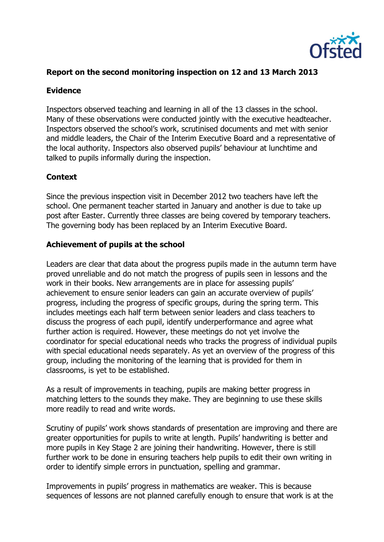

## **Report on the second monitoring inspection on 12 and 13 March 2013**

### **Evidence**

Inspectors observed teaching and learning in all of the 13 classes in the school. Many of these observations were conducted jointly with the executive headteacher. Inspectors observed the school's work, scrutinised documents and met with senior and middle leaders, the Chair of the Interim Executive Board and a representative of the local authority. Inspectors also observed pupils' behaviour at lunchtime and talked to pupils informally during the inspection.

## **Context**

Since the previous inspection visit in December 2012 two teachers have left the school. One permanent teacher started in January and another is due to take up post after Easter. Currently three classes are being covered by temporary teachers. The governing body has been replaced by an Interim Executive Board.

#### **Achievement of pupils at the school**

Leaders are clear that data about the progress pupils made in the autumn term have proved unreliable and do not match the progress of pupils seen in lessons and the work in their books. New arrangements are in place for assessing pupils' achievement to ensure senior leaders can gain an accurate overview of pupils' progress, including the progress of specific groups, during the spring term. This includes meetings each half term between senior leaders and class teachers to discuss the progress of each pupil, identify underperformance and agree what further action is required. However, these meetings do not yet involve the coordinator for special educational needs who tracks the progress of individual pupils with special educational needs separately. As yet an overview of the progress of this group, including the monitoring of the learning that is provided for them in classrooms, is yet to be established.

As a result of improvements in teaching, pupils are making better progress in matching letters to the sounds they make. They are beginning to use these skills more readily to read and write words.

Scrutiny of pupils' work shows standards of presentation are improving and there are greater opportunities for pupils to write at length. Pupils' handwriting is better and more pupils in Key Stage 2 are joining their handwriting. However, there is still further work to be done in ensuring teachers help pupils to edit their own writing in order to identify simple errors in punctuation, spelling and grammar.

Improvements in pupils' progress in mathematics are weaker. This is because sequences of lessons are not planned carefully enough to ensure that work is at the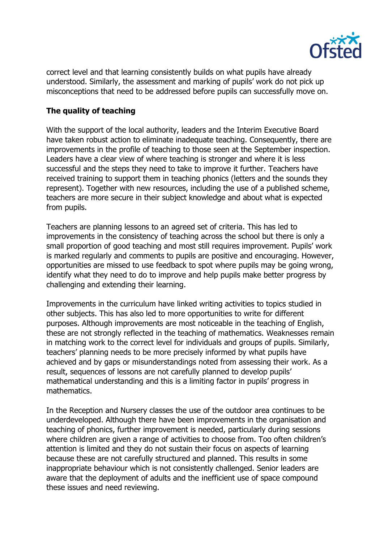

correct level and that learning consistently builds on what pupils have already understood. Similarly, the assessment and marking of pupils' work do not pick up misconceptions that need to be addressed before pupils can successfully move on.

## **The quality of teaching**

With the support of the local authority, leaders and the Interim Executive Board have taken robust action to eliminate inadequate teaching. Consequently, there are improvements in the profile of teaching to those seen at the September inspection. Leaders have a clear view of where teaching is stronger and where it is less successful and the steps they need to take to improve it further. Teachers have received training to support them in teaching phonics (letters and the sounds they represent). Together with new resources, including the use of a published scheme, teachers are more secure in their subject knowledge and about what is expected from pupils.

Teachers are planning lessons to an agreed set of criteria. This has led to improvements in the consistency of teaching across the school but there is only a small proportion of good teaching and most still requires improvement. Pupils' work is marked regularly and comments to pupils are positive and encouraging. However, opportunities are missed to use feedback to spot where pupils may be going wrong, identify what they need to do to improve and help pupils make better progress by challenging and extending their learning.

Improvements in the curriculum have linked writing activities to topics studied in other subjects. This has also led to more opportunities to write for different purposes. Although improvements are most noticeable in the teaching of English, these are not strongly reflected in the teaching of mathematics. Weaknesses remain in matching work to the correct level for individuals and groups of pupils. Similarly, teachers' planning needs to be more precisely informed by what pupils have achieved and by gaps or misunderstandings noted from assessing their work. As a result, sequences of lessons are not carefully planned to develop pupils' mathematical understanding and this is a limiting factor in pupils' progress in mathematics.

In the Reception and Nursery classes the use of the outdoor area continues to be underdeveloped. Although there have been improvements in the organisation and teaching of phonics, further improvement is needed, particularly during sessions where children are given a range of activities to choose from. Too often children's attention is limited and they do not sustain their focus on aspects of learning because these are not carefully structured and planned. This results in some inappropriate behaviour which is not consistently challenged. Senior leaders are aware that the deployment of adults and the inefficient use of space compound these issues and need reviewing.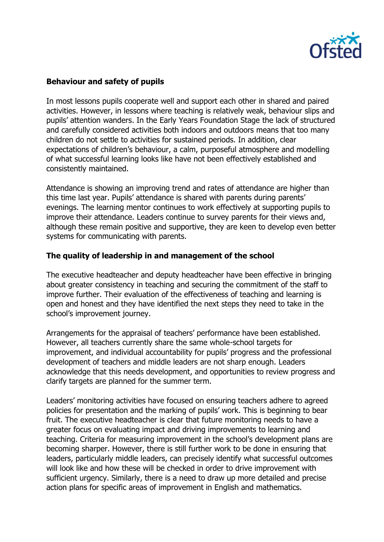

## **Behaviour and safety of pupils**

In most lessons pupils cooperate well and support each other in shared and paired activities. However, in lessons where teaching is relatively weak, behaviour slips and pupils' attention wanders. In the Early Years Foundation Stage the lack of structured and carefully considered activities both indoors and outdoors means that too many children do not settle to activities for sustained periods. In addition, clear expectations of children's behaviour, a calm, purposeful atmosphere and modelling of what successful learning looks like have not been effectively established and consistently maintained.

Attendance is showing an improving trend and rates of attendance are higher than this time last year. Pupils' attendance is shared with parents during parents' evenings. The learning mentor continues to work effectively at supporting pupils to improve their attendance. Leaders continue to survey parents for their views and, although these remain positive and supportive, they are keen to develop even better systems for communicating with parents.

## **The quality of leadership in and management of the school**

The executive headteacher and deputy headteacher have been effective in bringing about greater consistency in teaching and securing the commitment of the staff to improve further. Their evaluation of the effectiveness of teaching and learning is open and honest and they have identified the next steps they need to take in the school's improvement journey.

Arrangements for the appraisal of teachers' performance have been established. However, all teachers currently share the same whole-school targets for improvement, and individual accountability for pupils' progress and the professional development of teachers and middle leaders are not sharp enough. Leaders acknowledge that this needs development, and opportunities to review progress and clarify targets are planned for the summer term.

Leaders' monitoring activities have focused on ensuring teachers adhere to agreed policies for presentation and the marking of pupils' work. This is beginning to bear fruit. The executive headteacher is clear that future monitoring needs to have a greater focus on evaluating impact and driving improvements to learning and teaching. Criteria for measuring improvement in the school's development plans are becoming sharper. However, there is still further work to be done in ensuring that leaders, particularly middle leaders, can precisely identify what successful outcomes will look like and how these will be checked in order to drive improvement with sufficient urgency. Similarly, there is a need to draw up more detailed and precise action plans for specific areas of improvement in English and mathematics.